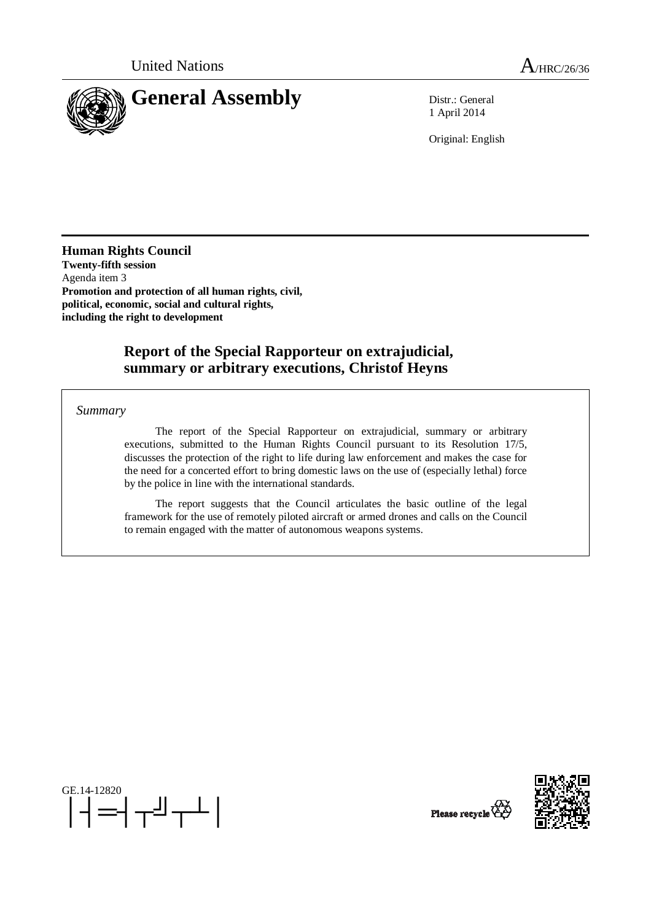

1 April 2014

Original: English

**Human Rights Council Twenty-fifth session**  Agenda item 3 **Promotion and protection of all human rights, civil, political, economic, social and cultural rights, including the right to development** 

# **Report of the Special Rapporteur on extrajudicial, summary or arbitrary executions, Christof Heyns**

*Summary* 

The report of the Special Rapporteur on extrajudicial, summary or arbitrary executions, submitted to the Human Rights Council pursuant to its Resolution 17/5, discusses the protection of the right to life during law enforcement and makes the case for the need for a concerted effort to bring domestic laws on the use of (especially lethal) force by the police in line with the international standards.

The report suggests that the Council articulates the basic outline of the legal framework for the use of remotely piloted aircraft or armed drones and calls on the Council to remain engaged with the matter of autonomous weapons systems.





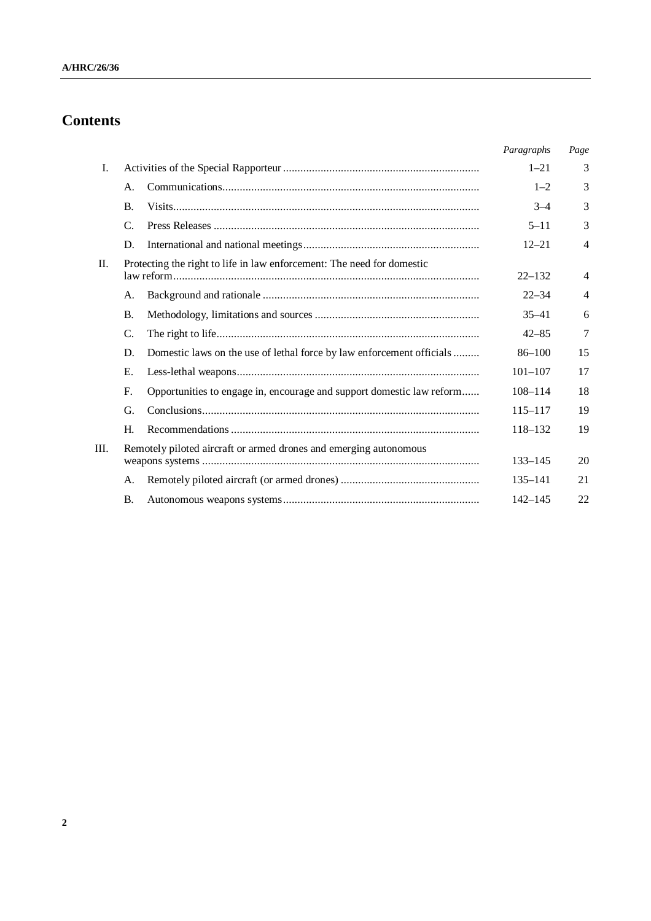# **Contents**

|         |           |                                                                        | Paragraphs  | Page           |
|---------|-----------|------------------------------------------------------------------------|-------------|----------------|
|         | I.        |                                                                        | $1 - 21$    | 3              |
|         | А.        |                                                                        | $1 - 2$     | 3              |
|         | <b>B.</b> |                                                                        | $3 - 4$     | 3              |
|         | C.        |                                                                        | $5 - 11$    | 3              |
|         | D.        |                                                                        | $12 - 21$   | $\overline{4}$ |
| $\Pi$ . |           | Protecting the right to life in law enforcement: The need for domestic | $22 - 132$  | $\overline{4}$ |
|         | А.        |                                                                        | $22 - 34$   | 4              |
|         | <b>B.</b> |                                                                        | $35 - 41$   | 6              |
|         | C.        |                                                                        | $42 - 85$   | 7              |
|         | D.        | Domestic laws on the use of lethal force by law enforcement officials  | $86 - 100$  | 15             |
|         | Е.        |                                                                        | $101 - 107$ | 17             |
|         | F.        | Opportunities to engage in, encourage and support domestic law reform  | $108 - 114$ | 18             |
|         | G.        |                                                                        | $115 - 117$ | 19             |
|         | Н.        |                                                                        | 118-132     | 19             |
| Ш.      |           | Remotely piloted aircraft or armed drones and emerging autonomous      |             | 20             |
|         | А.        |                                                                        | $135 - 141$ | 21             |
|         | <b>B.</b> |                                                                        | $142 - 145$ | 22             |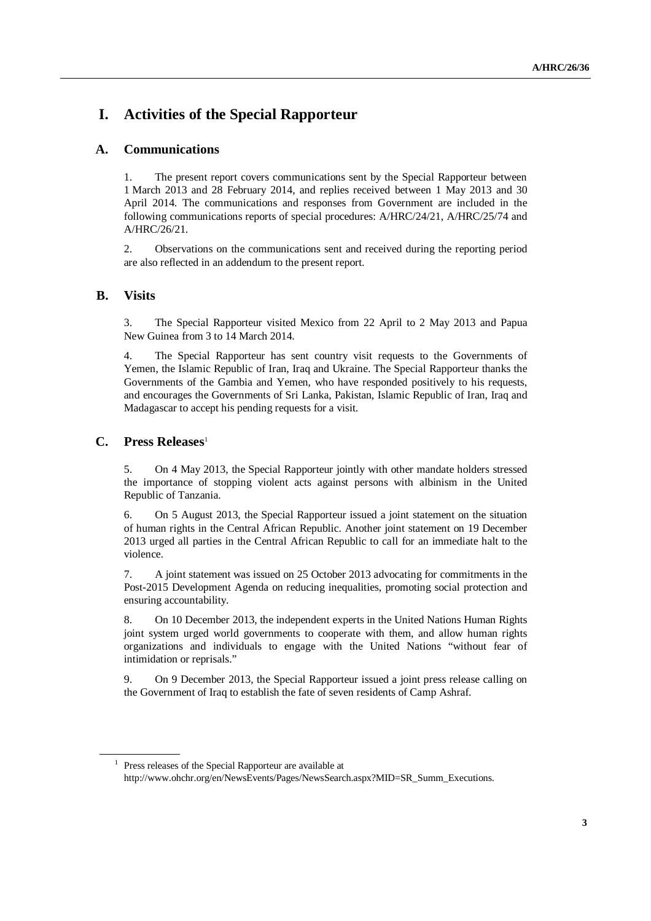# **I. Activities of the Special Rapporteur**

# **A. Communications**

1. The present report covers communications sent by the Special Rapporteur between 1 March 2013 and 28 February 2014, and replies received between 1 May 2013 and 30 April 2014. The communications and responses from Government are included in the following communications reports of special procedures: A/HRC/24/21, A/HRC/25/74 and A/HRC/26/21.

2. Observations on the communications sent and received during the reporting period are also reflected in an addendum to the present report.

# **B. Visits**

3. The Special Rapporteur visited Mexico from 22 April to 2 May 2013 and Papua New Guinea from 3 to 14 March 2014.

4. The Special Rapporteur has sent country visit requests to the Governments of Yemen, the Islamic Republic of Iran, Iraq and Ukraine. The Special Rapporteur thanks the Governments of the Gambia and Yemen, who have responded positively to his requests, and encourages the Governments of Sri Lanka, Pakistan, Islamic Republic of Iran, Iraq and Madagascar to accept his pending requests for a visit.

## **C. Press Releases**<sup>1</sup>

5. On 4 May 2013, the Special Rapporteur jointly with other mandate holders stressed the importance of stopping violent acts against persons with albinism in the United Republic of Tanzania.

6. On 5 August 2013, the Special Rapporteur issued a joint statement on the situation of human rights in the Central African Republic. Another joint statement on 19 December 2013 urged all parties in the Central African Republic to call for an immediate halt to the violence.

7. A joint statement was issued on 25 October 2013 advocating for commitments in the Post-2015 Development Agenda on reducing inequalities, promoting social protection and ensuring accountability.

8. On 10 December 2013, the independent experts in the United Nations Human Rights joint system urged world governments to cooperate with them, and allow human rights organizations and individuals to engage with the United Nations "without fear of intimidation or reprisals."

9. On 9 December 2013, the Special Rapporteur issued a joint press release calling on the Government of Iraq to establish the fate of seven residents of Camp Ashraf.

<sup>&</sup>lt;sup>1</sup> Press releases of the Special Rapporteur are available at

http://www.ohchr.org/en/NewsEvents/Pages/NewsSearch.aspx?MID=SR\_Summ\_Executions.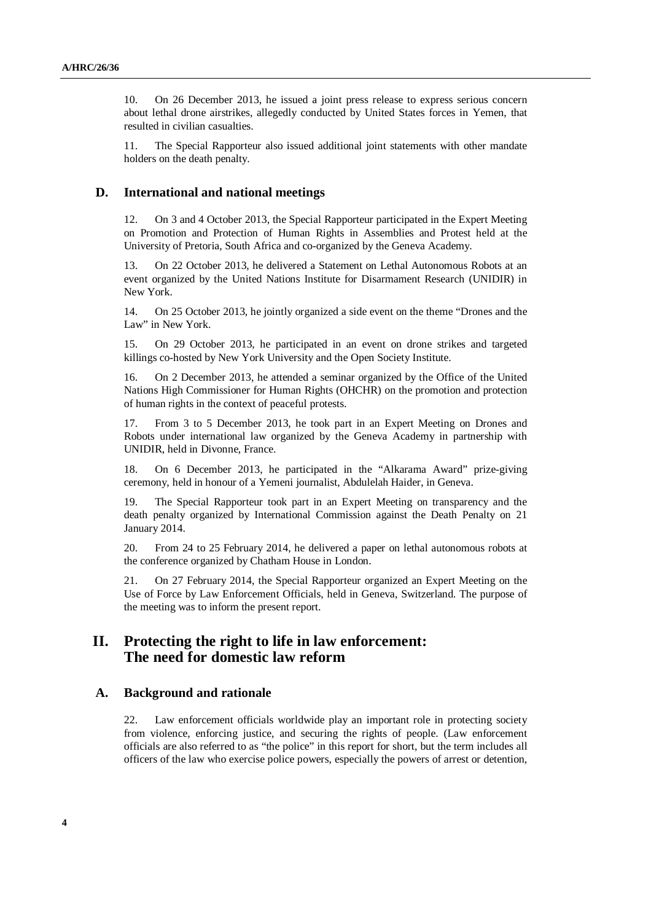10. On 26 December 2013, he issued a joint press release to express serious concern about lethal drone airstrikes, allegedly conducted by United States forces in Yemen, that resulted in civilian casualties.

11. The Special Rapporteur also issued additional joint statements with other mandate holders on the death penalty.

#### **D. International and national meetings**

12. On 3 and 4 October 2013, the Special Rapporteur participated in the Expert Meeting on Promotion and Protection of Human Rights in Assemblies and Protest held at the University of Pretoria, South Africa and co-organized by the Geneva Academy.

13. On 22 October 2013, he delivered a Statement on Lethal Autonomous Robots at an event organized by the United Nations Institute for Disarmament Research (UNIDIR) in New York.

14. On 25 October 2013, he jointly organized a side event on the theme "Drones and the Law" in New York.

15. On 29 October 2013, he participated in an event on drone strikes and targeted killings co-hosted by New York University and the Open Society Institute.

16. On 2 December 2013, he attended a seminar organized by the Office of the United Nations High Commissioner for Human Rights (OHCHR) on the promotion and protection of human rights in the context of peaceful protests.

17. From 3 to 5 December 2013, he took part in an Expert Meeting on Drones and Robots under international law organized by the Geneva Academy in partnership with UNIDIR, held in Divonne, France.

18. On 6 December 2013, he participated in the "Alkarama Award" prize-giving ceremony, held in honour of a Yemeni journalist, Abdulelah Haider, in Geneva.

19. The Special Rapporteur took part in an Expert Meeting on transparency and the death penalty organized by International Commission against the Death Penalty on 21 January 2014.

20. From 24 to 25 February 2014, he delivered a paper on lethal autonomous robots at the conference organized by Chatham House in London.

21. On 27 February 2014, the Special Rapporteur organized an Expert Meeting on the Use of Force by Law Enforcement Officials, held in Geneva, Switzerland. The purpose of the meeting was to inform the present report.

# **II. Protecting the right to life in law enforcement: The need for domestic law reform**

#### **A. Background and rationale**

22. Law enforcement officials worldwide play an important role in protecting society from violence, enforcing justice, and securing the rights of people. (Law enforcement officials are also referred to as "the police" in this report for short, but the term includes all officers of the law who exercise police powers, especially the powers of arrest or detention,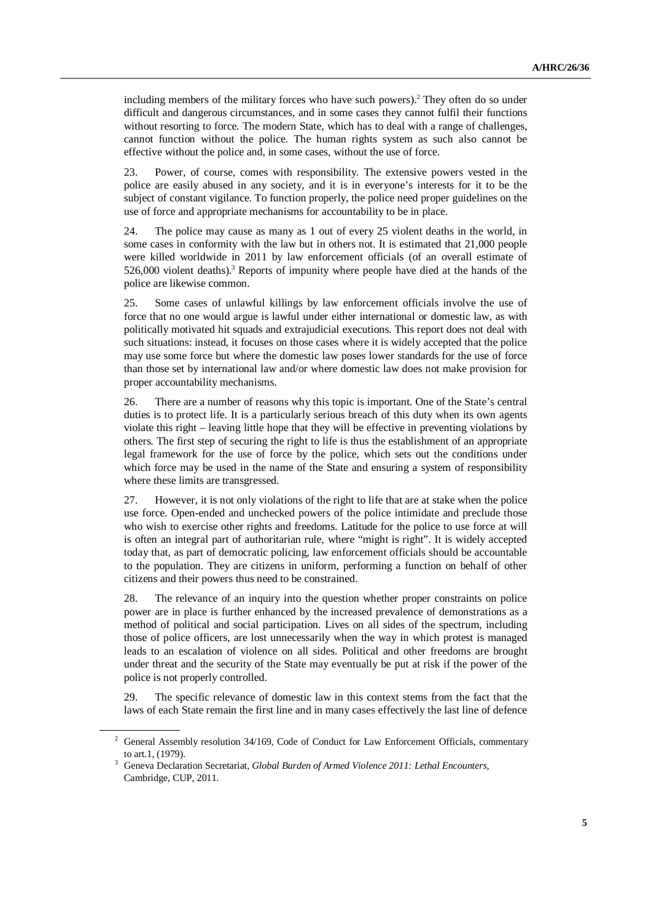including members of the military forces who have such powers).<sup>2</sup> They often do so under difficult and dangerous circumstances, and in some cases they cannot fulfil their functions without resorting to force. The modern State, which has to deal with a range of challenges, cannot function without the police. The human rights system as such also cannot be effective without the police and, in some cases, without the use of force.

23. Power, of course, comes with responsibility. The extensive powers vested in the police are easily abused in any society, and it is in everyone's interests for it to be the subject of constant vigilance. To function properly, the police need proper guidelines on the use of force and appropriate mechanisms for accountability to be in place.

24. The police may cause as many as 1 out of every 25 violent deaths in the world, in some cases in conformity with the law but in others not. It is estimated that 21,000 people were killed worldwide in 2011 by law enforcement officials (of an overall estimate of 526,000 violent deaths).<sup>3</sup> Reports of impunity where people have died at the hands of the police are likewise common.

25. Some cases of unlawful killings by law enforcement officials involve the use of force that no one would argue is lawful under either international or domestic law, as with politically motivated hit squads and extrajudicial executions. This report does not deal with such situations: instead, it focuses on those cases where it is widely accepted that the police may use some force but where the domestic law poses lower standards for the use of force than those set by international law and/or where domestic law does not make provision for proper accountability mechanisms.

26. There are a number of reasons why this topic is important. One of the State's central duties is to protect life. It is a particularly serious breach of this duty when its own agents violate this right – leaving little hope that they will be effective in preventing violations by others. The first step of securing the right to life is thus the establishment of an appropriate legal framework for the use of force by the police, which sets out the conditions under which force may be used in the name of the State and ensuring a system of responsibility where these limits are transgressed.

27. However, it is not only violations of the right to life that are at stake when the police use force. Open-ended and unchecked powers of the police intimidate and preclude those who wish to exercise other rights and freedoms. Latitude for the police to use force at will is often an integral part of authoritarian rule, where "might is right". It is widely accepted today that, as part of democratic policing, law enforcement officials should be accountable to the population. They are citizens in uniform, performing a function on behalf of other citizens and their powers thus need to be constrained.

28. The relevance of an inquiry into the question whether proper constraints on police power are in place is further enhanced by the increased prevalence of demonstrations as a method of political and social participation. Lives on all sides of the spectrum, including those of police officers, are lost unnecessarily when the way in which protest is managed leads to an escalation of violence on all sides. Political and other freedoms are brought under threat and the security of the State may eventually be put at risk if the power of the police is not properly controlled.

29. The specific relevance of domestic law in this context stems from the fact that the laws of each State remain the first line and in many cases effectively the last line of defence

<sup>&</sup>lt;sup>2</sup> General Assembly resolution 34/169, Code of Conduct for Law Enforcement Officials, commentary to art.1, (1979). 3

Geneva Declaration Secretariat, *Global Burden of Armed Violence 2011: Lethal Encounters,* Cambridge, CUP, 2011.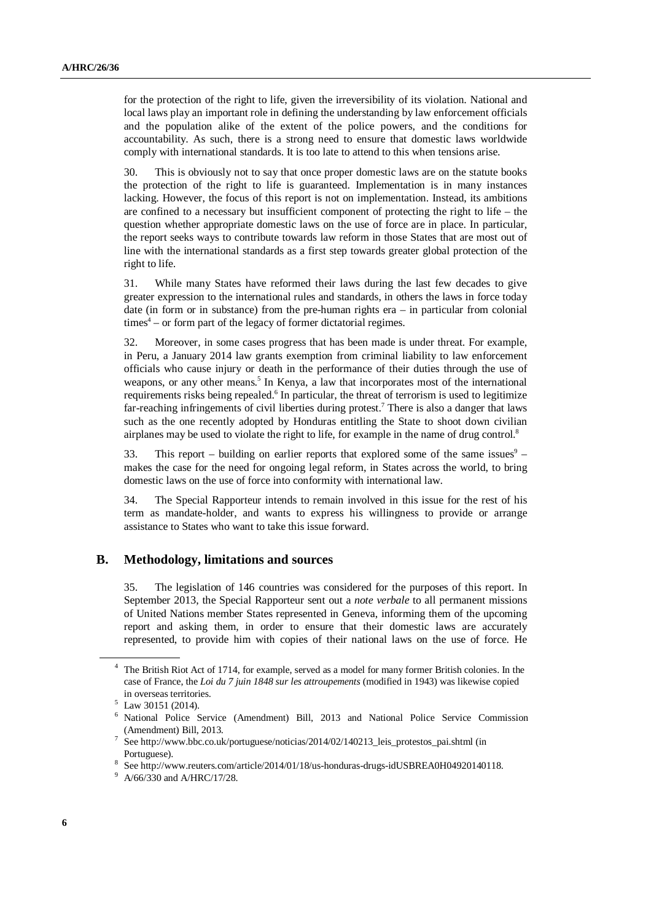for the protection of the right to life, given the irreversibility of its violation. National and local laws play an important role in defining the understanding by law enforcement officials and the population alike of the extent of the police powers, and the conditions for accountability. As such, there is a strong need to ensure that domestic laws worldwide comply with international standards. It is too late to attend to this when tensions arise.

30. This is obviously not to say that once proper domestic laws are on the statute books the protection of the right to life is guaranteed. Implementation is in many instances lacking. However, the focus of this report is not on implementation. Instead, its ambitions are confined to a necessary but insufficient component of protecting the right to life – the question whether appropriate domestic laws on the use of force are in place. In particular, the report seeks ways to contribute towards law reform in those States that are most out of line with the international standards as a first step towards greater global protection of the right to life.

31. While many States have reformed their laws during the last few decades to give greater expression to the international rules and standards, in others the laws in force today date (in form or in substance) from the pre-human rights era – in particular from colonial times<sup>4</sup> – or form part of the legacy of former dictatorial regimes.

32. Moreover, in some cases progress that has been made is under threat. For example, in Peru, a January 2014 law grants exemption from criminal liability to law enforcement officials who cause injury or death in the performance of their duties through the use of weapons, or any other means.<sup>5</sup> In Kenya, a law that incorporates most of the international requirements risks being repealed.<sup>6</sup> In particular, the threat of terrorism is used to legitimize far-reaching infringements of civil liberties during protest.<sup>7</sup> There is also a danger that laws such as the one recently adopted by Honduras entitling the State to shoot down civilian airplanes may be used to violate the right to life, for example in the name of drug control.<sup>8</sup>

33. This report – building on earlier reports that explored some of the same issues $9$ makes the case for the need for ongoing legal reform, in States across the world, to bring domestic laws on the use of force into conformity with international law.

34. The Special Rapporteur intends to remain involved in this issue for the rest of his term as mandate-holder, and wants to express his willingness to provide or arrange assistance to States who want to take this issue forward.

## **B. Methodology, limitations and sources**

35. The legislation of 146 countries was considered for the purposes of this report. In September 2013, the Special Rapporteur sent out a *note verbale* to all permanent missions of United Nations member States represented in Geneva, informing them of the upcoming report and asking them, in order to ensure that their domestic laws are accurately represented, to provide him with copies of their national laws on the use of force. He

<sup>4</sup> The British Riot Act of 1714, for example, served as a model for many former British colonies. In the case of France, the *Loi du 7 juin 1848 sur les attroupements* (modified in 1943) was likewise copied in overseas territories.

<sup>5</sup> Law 30151 (2014).

<sup>6</sup> National Police Service (Amendment) Bill, 2013 and National Police Service Commission (Amendment) Bill, 2013.

<sup>7</sup> See http://www.bbc.co.uk/portuguese/noticias/2014/02/140213\_leis\_protestos\_pai.shtml (in Portuguese).

<sup>8</sup> See http://www.reuters.com/article/2014/01/18/us-honduras-drugs-idUSBREA0H04920140118.

<sup>&</sup>lt;sup>9</sup> A/66/330 and A/HRC/17/28.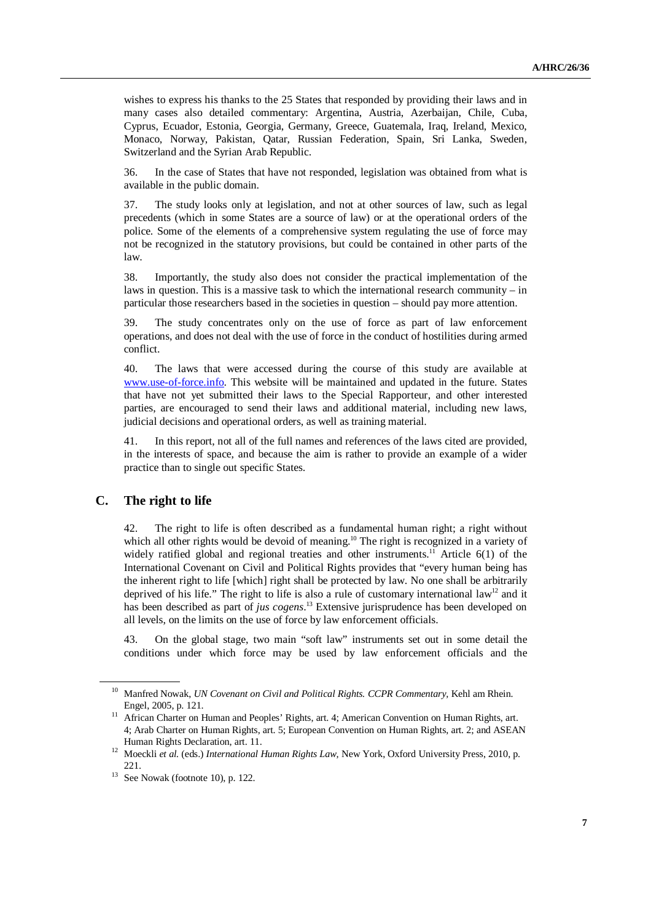wishes to express his thanks to the 25 States that responded by providing their laws and in many cases also detailed commentary: Argentina, Austria, Azerbaijan, Chile, Cuba, Cyprus, Ecuador, Estonia, Georgia, Germany, Greece, Guatemala, Iraq, Ireland, Mexico, Monaco, Norway, Pakistan, Qatar, Russian Federation, Spain, Sri Lanka, Sweden, Switzerland and the Syrian Arab Republic.

36. In the case of States that have not responded, legislation was obtained from what is available in the public domain.

37. The study looks only at legislation, and not at other sources of law, such as legal precedents (which in some States are a source of law) or at the operational orders of the police. Some of the elements of a comprehensive system regulating the use of force may not be recognized in the statutory provisions, but could be contained in other parts of the law.

38. Importantly, the study also does not consider the practical implementation of the laws in question. This is a massive task to which the international research community  $-$  in particular those researchers based in the societies in question – should pay more attention.

39. The study concentrates only on the use of force as part of law enforcement operations, and does not deal with the use of force in the conduct of hostilities during armed conflict.

40. The laws that were accessed during the course of this study are available at www.use-of-force.info. This website will be maintained and updated in the future. States that have not yet submitted their laws to the Special Rapporteur, and other interested parties, are encouraged to send their laws and additional material, including new laws, judicial decisions and operational orders, as well as training material.

41. In this report, not all of the full names and references of the laws cited are provided, in the interests of space, and because the aim is rather to provide an example of a wider practice than to single out specific States.

#### **C. The right to life**

42. The right to life is often described as a fundamental human right; a right without which all other rights would be devoid of meaning.<sup>10</sup> The right is recognized in a variety of widely ratified global and regional treaties and other instruments.<sup>11</sup> Article  $6(1)$  of the International Covenant on Civil and Political Rights provides that "every human being has the inherent right to life [which] right shall be protected by law. No one shall be arbitrarily deprived of his life." The right to life is also a rule of customary international  $law<sup>12</sup>$  and it has been described as part of *jus cogens*. <sup>13</sup> Extensive jurisprudence has been developed on all levels, on the limits on the use of force by law enforcement officials.

43. On the global stage, two main "soft law" instruments set out in some detail the conditions under which force may be used by law enforcement officials and the

<sup>&</sup>lt;sup>10</sup> Manfred Nowak, *UN Covenant on Civil and Political Rights. CCPR Commentary*, Kehl am Rhein. Engel, 2005, p. 121.

<sup>&</sup>lt;sup>11</sup> African Charter on Human and Peoples' Rights, art. 4; American Convention on Human Rights, art. 4; Arab Charter on Human Rights, art. 5; European Convention on Human Rights, art. 2; and ASEAN Human Rights Declaration, art. 11.

<sup>12</sup> Moeckli *et al.* (eds.) *International Human Rights Law,* New York, Oxford University Press, 2010, p. 221.

 $13$  See Nowak (footnote 10), p. 122.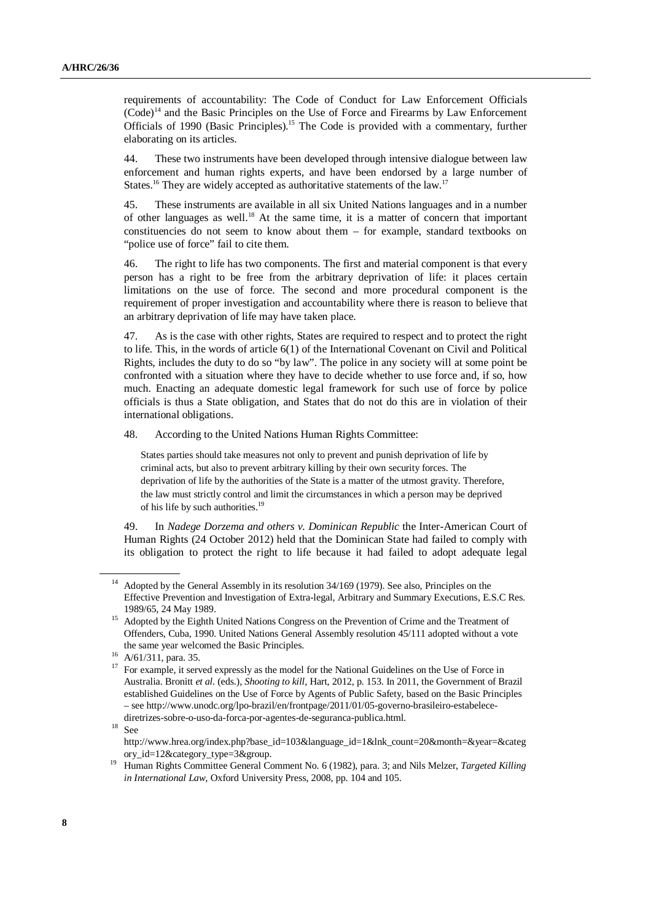requirements of accountability: The Code of Conduct for Law Enforcement Officials  $(Code)^{14}$  and the Basic Principles on the Use of Force and Firearms by Law Enforcement Officials of 1990 (Basic Principles).<sup>15</sup> The Code is provided with a commentary, further elaborating on its articles.

44. These two instruments have been developed through intensive dialogue between law enforcement and human rights experts, and have been endorsed by a large number of States.<sup>16</sup> They are widely accepted as authoritative statements of the law.<sup>17</sup>

45. These instruments are available in all six United Nations languages and in a number of other languages as well.<sup>18</sup> At the same time, it is a matter of concern that important constituencies do not seem to know about them – for example, standard textbooks on "police use of force" fail to cite them.

46. The right to life has two components. The first and material component is that every person has a right to be free from the arbitrary deprivation of life: it places certain limitations on the use of force. The second and more procedural component is the requirement of proper investigation and accountability where there is reason to believe that an arbitrary deprivation of life may have taken place.

47. As is the case with other rights, States are required to respect and to protect the right to life. This, in the words of article 6(1) of the International Covenant on Civil and Political Rights, includes the duty to do so "by law". The police in any society will at some point be confronted with a situation where they have to decide whether to use force and, if so, how much. Enacting an adequate domestic legal framework for such use of force by police officials is thus a State obligation, and States that do not do this are in violation of their international obligations.

48. According to the United Nations Human Rights Committee:

States parties should take measures not only to prevent and punish deprivation of life by criminal acts, but also to prevent arbitrary killing by their own security forces. The deprivation of life by the authorities of the State is a matter of the utmost gravity. Therefore, the law must strictly control and limit the circumstances in which a person may be deprived of his life by such authorities.<sup>19</sup>

49. In *Nadege Dorzema and others v. Dominican Republic* the Inter-American Court of Human Rights (24 October 2012) held that the Dominican State had failed to comply with its obligation to protect the right to life because it had failed to adopt adequate legal

 $18$  See

<sup>&</sup>lt;sup>14</sup> Adopted by the General Assembly in its resolution  $34/169$  (1979). See also, Principles on the Effective Prevention and Investigation of Extra-legal, Arbitrary and Summary Executions, E.S.C Res. 1989/65, 24 May 1989.

<sup>&</sup>lt;sup>15</sup> Adopted by the Eighth United Nations Congress on the Prevention of Crime and the Treatment of Offenders, Cuba, 1990. United Nations General Assembly resolution 45/111 adopted without a vote the same year welcomed the Basic Principles.

<sup>16</sup> A/61/311, para. 35.

<sup>&</sup>lt;sup>17</sup> For example, it served expressly as the model for the National Guidelines on the Use of Force in Australia. Bronitt *et al.* (eds.), *Shooting to kill,* Hart, 2012, p. 153. In 2011, the Government of Brazil established Guidelines on the Use of Force by Agents of Public Safety, based on the Basic Principles – see http://www.unodc.org/lpo-brazil/en/frontpage/2011/01/05-governo-brasileiro-estabelecediretrizes-sobre-o-uso-da-forca-por-agentes-de-seguranca-publica.html.

http://www.hrea.org/index.php?base\_id=103&language\_id=1&lnk\_count=20&month=&year=&categ ory\_id=12&category\_type=3&group.

<sup>19</sup> Human Rights Committee General Comment No. 6 (1982), para. 3; and Nils Melzer, *Targeted Killing in International Law,* Oxford University Press, 2008, pp. 104 and 105.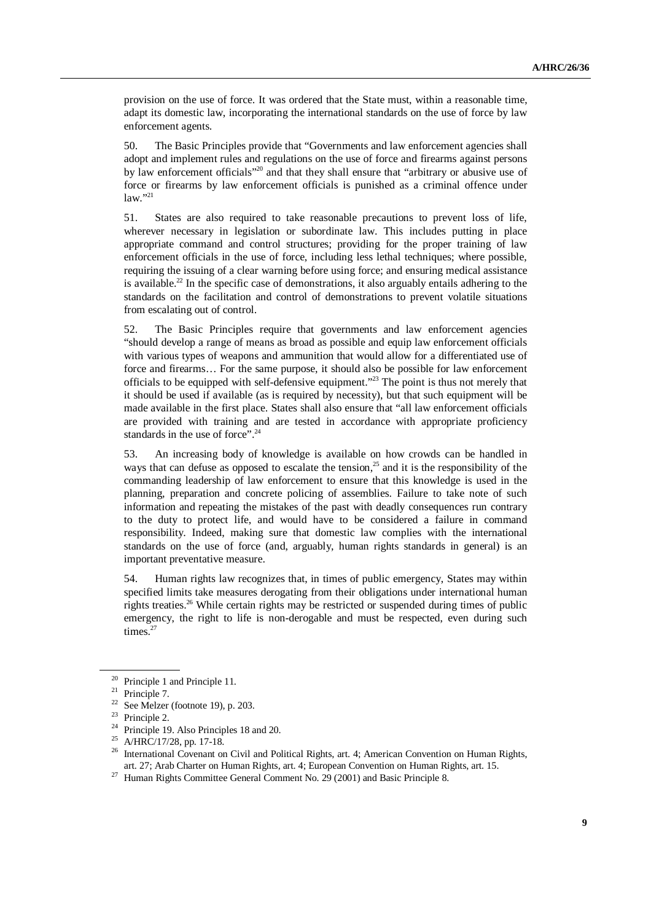provision on the use of force. It was ordered that the State must, within a reasonable time, adapt its domestic law, incorporating the international standards on the use of force by law enforcement agents.

50. The Basic Principles provide that "Governments and law enforcement agencies shall adopt and implement rules and regulations on the use of force and firearms against persons by law enforcement officials"<sup>20</sup> and that they shall ensure that "arbitrary or abusive use of force or firearms by law enforcement officials is punished as a criminal offence under  $law.$ <sup>21</sup>

51. States are also required to take reasonable precautions to prevent loss of life, wherever necessary in legislation or subordinate law. This includes putting in place appropriate command and control structures; providing for the proper training of law enforcement officials in the use of force, including less lethal techniques; where possible, requiring the issuing of a clear warning before using force; and ensuring medical assistance is available.<sup>22</sup> In the specific case of demonstrations, it also arguably entails adhering to the standards on the facilitation and control of demonstrations to prevent volatile situations from escalating out of control.

52. The Basic Principles require that governments and law enforcement agencies "should develop a range of means as broad as possible and equip law enforcement officials with various types of weapons and ammunition that would allow for a differentiated use of force and firearms… For the same purpose, it should also be possible for law enforcement officials to be equipped with self-defensive equipment."<sup>23</sup> The point is thus not merely that it should be used if available (as is required by necessity), but that such equipment will be made available in the first place. States shall also ensure that "all law enforcement officials are provided with training and are tested in accordance with appropriate proficiency standards in the use of force".<sup>24</sup>

53. An increasing body of knowledge is available on how crowds can be handled in ways that can defuse as opposed to escalate the tension,<sup>25</sup> and it is the responsibility of the commanding leadership of law enforcement to ensure that this knowledge is used in the planning, preparation and concrete policing of assemblies. Failure to take note of such information and repeating the mistakes of the past with deadly consequences run contrary to the duty to protect life, and would have to be considered a failure in command responsibility. Indeed, making sure that domestic law complies with the international standards on the use of force (and, arguably, human rights standards in general) is an important preventative measure.

54. Human rights law recognizes that, in times of public emergency, States may within specified limits take measures derogating from their obligations under international human rights treaties.<sup>26</sup> While certain rights may be restricted or suspended during times of public emergency, the right to life is non-derogable and must be respected, even during such times.<sup>27</sup>

<sup>&</sup>lt;sup>20</sup> Principle 1 and Principle 11.

<sup>&</sup>lt;sup>21</sup> Principle 7.

<sup>&</sup>lt;sup>22</sup> See Melzer (footnote 19), p. 203.

<sup>&</sup>lt;sup>23</sup> Principle 2.

<sup>&</sup>lt;sup>24</sup> Principle 19. Also Principles 18 and 20.

<sup>&</sup>lt;sup>25</sup> A/HRC/17/28, pp. 17-18.

<sup>&</sup>lt;sup>26</sup> International Covenant on Civil and Political Rights, art. 4; American Convention on Human Rights, art. 27; Arab Charter on Human Rights, art. 4; European Convention on Human Rights, art. 15.

<sup>&</sup>lt;sup>27</sup> Human Rights Committee General Comment No. 29 (2001) and Basic Principle 8.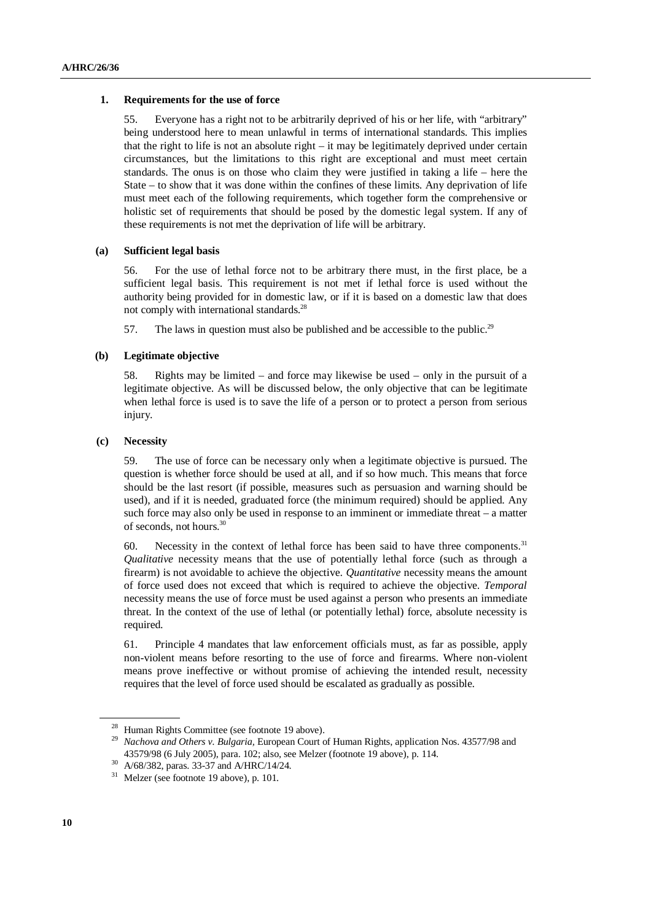#### **1. Requirements for the use of force**

55. Everyone has a right not to be arbitrarily deprived of his or her life, with "arbitrary" being understood here to mean unlawful in terms of international standards. This implies that the right to life is not an absolute right – it may be legitimately deprived under certain circumstances, but the limitations to this right are exceptional and must meet certain standards. The onus is on those who claim they were justified in taking a life – here the State – to show that it was done within the confines of these limits. Any deprivation of life must meet each of the following requirements, which together form the comprehensive or holistic set of requirements that should be posed by the domestic legal system. If any of these requirements is not met the deprivation of life will be arbitrary.

#### **(a) Sufficient legal basis**

56. For the use of lethal force not to be arbitrary there must, in the first place, be a sufficient legal basis. This requirement is not met if lethal force is used without the authority being provided for in domestic law, or if it is based on a domestic law that does not comply with international standards.<sup>28</sup>

57. The laws in question must also be published and be accessible to the public.<sup>29</sup>

#### **(b) Legitimate objective**

58. Rights may be limited – and force may likewise be used – only in the pursuit of a legitimate objective. As will be discussed below, the only objective that can be legitimate when lethal force is used is to save the life of a person or to protect a person from serious injury.

#### **(c) Necessity**

59. The use of force can be necessary only when a legitimate objective is pursued. The question is whether force should be used at all, and if so how much. This means that force should be the last resort (if possible, measures such as persuasion and warning should be used), and if it is needed, graduated force (the minimum required) should be applied. Any such force may also only be used in response to an imminent or immediate threat – a matter of seconds, not hours.<sup>30</sup>

60. Necessity in the context of lethal force has been said to have three components.<sup>31</sup> *Qualitative* necessity means that the use of potentially lethal force (such as through a firearm) is not avoidable to achieve the objective. *Quantitative* necessity means the amount of force used does not exceed that which is required to achieve the objective. *Temporal* necessity means the use of force must be used against a person who presents an immediate threat. In the context of the use of lethal (or potentially lethal) force, absolute necessity is required.

61. Principle 4 mandates that law enforcement officials must, as far as possible, apply non-violent means before resorting to the use of force and firearms. Where non-violent means prove ineffective or without promise of achieving the intended result, necessity requires that the level of force used should be escalated as gradually as possible.

<sup>&</sup>lt;sup>28</sup> Human Rights Committee (see footnote 19 above).

<sup>&</sup>lt;sup>29</sup> *Nachova and Others v. Bulgaria, European Court of Human Rights, application Nos. 43577/98 and* 43579/98 (6 July 2005), para. 102; also, see Melzer (footnote 19 above), p. 114.

<sup>30</sup> A/68/382, paras. 33-37 and A/HRC/14/24.

 $31$  Melzer (see footnote 19 above), p. 101.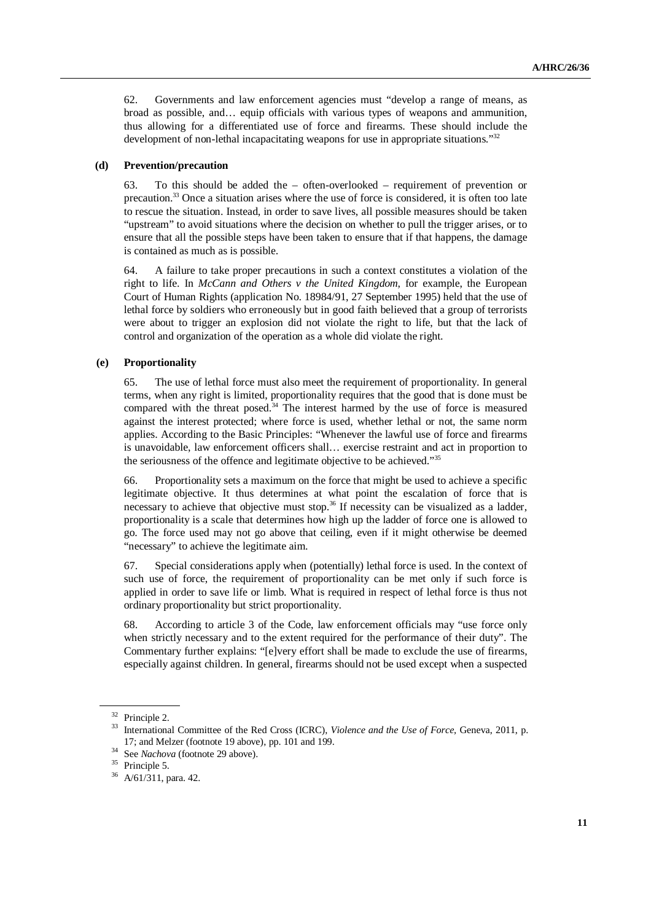62. Governments and law enforcement agencies must "develop a range of means, as broad as possible, and… equip officials with various types of weapons and ammunition, thus allowing for a differentiated use of force and firearms. These should include the development of non-lethal incapacitating weapons for use in appropriate situations."<sup>32</sup>

#### **(d) Prevention/precaution**

63. To this should be added the – often-overlooked – requirement of prevention or precaution.<sup>33</sup> Once a situation arises where the use of force is considered, it is often too late to rescue the situation. Instead, in order to save lives, all possible measures should be taken "upstream" to avoid situations where the decision on whether to pull the trigger arises, or to ensure that all the possible steps have been taken to ensure that if that happens, the damage is contained as much as is possible.

64. A failure to take proper precautions in such a context constitutes a violation of the right to life. In *McCann and Others v the United Kingdom*, for example, the European Court of Human Rights (application No. 18984/91, 27 September 1995) held that the use of lethal force by soldiers who erroneously but in good faith believed that a group of terrorists were about to trigger an explosion did not violate the right to life, but that the lack of control and organization of the operation as a whole did violate the right.

#### **(e) Proportionality**

65. The use of lethal force must also meet the requirement of proportionality. In general terms, when any right is limited, proportionality requires that the good that is done must be compared with the threat posed. $34$  The interest harmed by the use of force is measured against the interest protected; where force is used, whether lethal or not, the same norm applies. According to the Basic Principles: "Whenever the lawful use of force and firearms is unavoidable, law enforcement officers shall… exercise restraint and act in proportion to the seriousness of the offence and legitimate objective to be achieved."<sup>35</sup>

66. Proportionality sets a maximum on the force that might be used to achieve a specific legitimate objective. It thus determines at what point the escalation of force that is necessary to achieve that objective must stop. $36$  If necessity can be visualized as a ladder, proportionality is a scale that determines how high up the ladder of force one is allowed to go. The force used may not go above that ceiling, even if it might otherwise be deemed "necessary" to achieve the legitimate aim.

67. Special considerations apply when (potentially) lethal force is used. In the context of such use of force, the requirement of proportionality can be met only if such force is applied in order to save life or limb. What is required in respect of lethal force is thus not ordinary proportionality but strict proportionality.

68. According to article 3 of the Code, law enforcement officials may "use force only when strictly necessary and to the extent required for the performance of their duty". The Commentary further explains: "[e]very effort shall be made to exclude the use of firearms, especially against children. In general, firearms should not be used except when a suspected

<sup>32</sup> Principle 2.

<sup>&</sup>lt;sup>33</sup> International Committee of the Red Cross (ICRC), *Violence and the Use of Force*, Geneva, 2011, p. 17; and Melzer (footnote 19 above), pp. 101 and 199.

<sup>34</sup> See *Nachova* (footnote 29 above).

<sup>&</sup>lt;sup>35</sup> Principle 5.

<sup>36</sup> A/61/311, para. 42.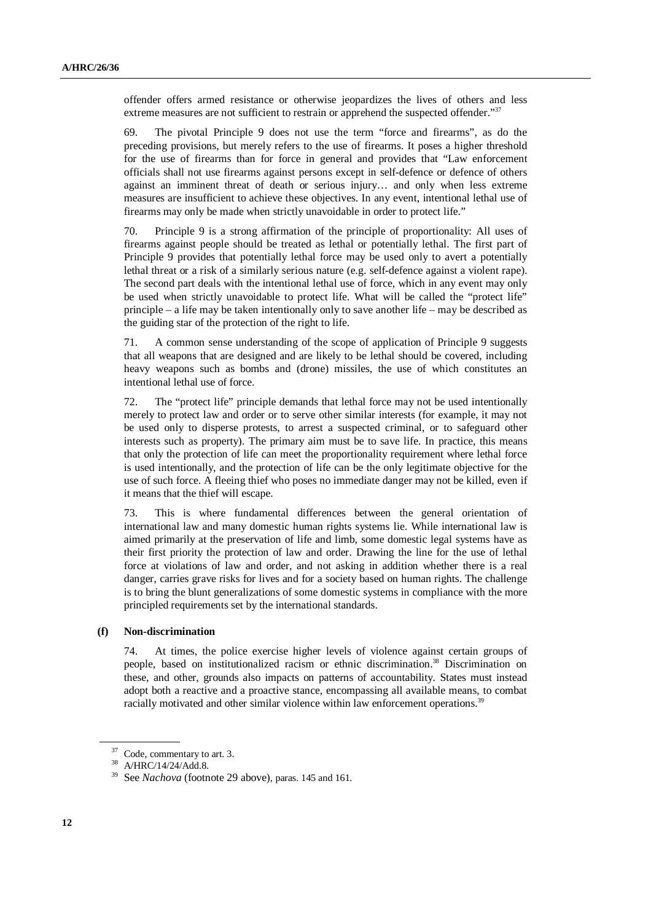offender offers armed resistance or otherwise jeopardizes the lives of others and less extreme measures are not sufficient to restrain or apprehend the suspected offender."<sup>37</sup>

69. The pivotal Principle 9 does not use the term "force and firearms", as do the preceding provisions, but merely refers to the use of firearms. It poses a higher threshold for the use of firearms than for force in general and provides that "Law enforcement officials shall not use firearms against persons except in self-defence or defence of others against an imminent threat of death or serious injury… and only when less extreme measures are insufficient to achieve these objectives. In any event, intentional lethal use of firearms may only be made when strictly unavoidable in order to protect life."

70. Principle 9 is a strong affirmation of the principle of proportionality: All uses of firearms against people should be treated as lethal or potentially lethal. The first part of Principle 9 provides that potentially lethal force may be used only to avert a potentially lethal threat or a risk of a similarly serious nature (e.g. self-defence against a violent rape). The second part deals with the intentional lethal use of force, which in any event may only be used when strictly unavoidable to protect life. What will be called the "protect life" principle – a life may be taken intentionally only to save another life – may be described as the guiding star of the protection of the right to life.

71. A common sense understanding of the scope of application of Principle 9 suggests that all weapons that are designed and are likely to be lethal should be covered, including heavy weapons such as bombs and (drone) missiles, the use of which constitutes an intentional lethal use of force.

72. The "protect life" principle demands that lethal force may not be used intentionally merely to protect law and order or to serve other similar interests (for example, it may not be used only to disperse protests, to arrest a suspected criminal, or to safeguard other interests such as property). The primary aim must be to save life. In practice, this means that only the protection of life can meet the proportionality requirement where lethal force is used intentionally, and the protection of life can be the only legitimate objective for the use of such force. A fleeing thief who poses no immediate danger may not be killed, even if it means that the thief will escape.

73. This is where fundamental differences between the general orientation of international law and many domestic human rights systems lie. While international law is aimed primarily at the preservation of life and limb, some domestic legal systems have as their first priority the protection of law and order. Drawing the line for the use of lethal force at violations of law and order, and not asking in addition whether there is a real danger, carries grave risks for lives and for a society based on human rights. The challenge is to bring the blunt generalizations of some domestic systems in compliance with the more principled requirements set by the international standards.

#### **(f) Non-discrimination**

74. At times, the police exercise higher levels of violence against certain groups of people, based on institutionalized racism or ethnic discrimination.<sup>38</sup> Discrimination on these, and other, grounds also impacts on patterns of accountability. States must instead adopt both a reactive and a proactive stance, encompassing all available means, to combat racially motivated and other similar violence within law enforcement operations.<sup>39</sup>

<sup>37</sup> Code, commentary to art. 3.

<sup>38</sup> A/HRC/14/24/Add.8.

<sup>39</sup> See *Nachova* (footnote 29 above), paras. 145 and 161.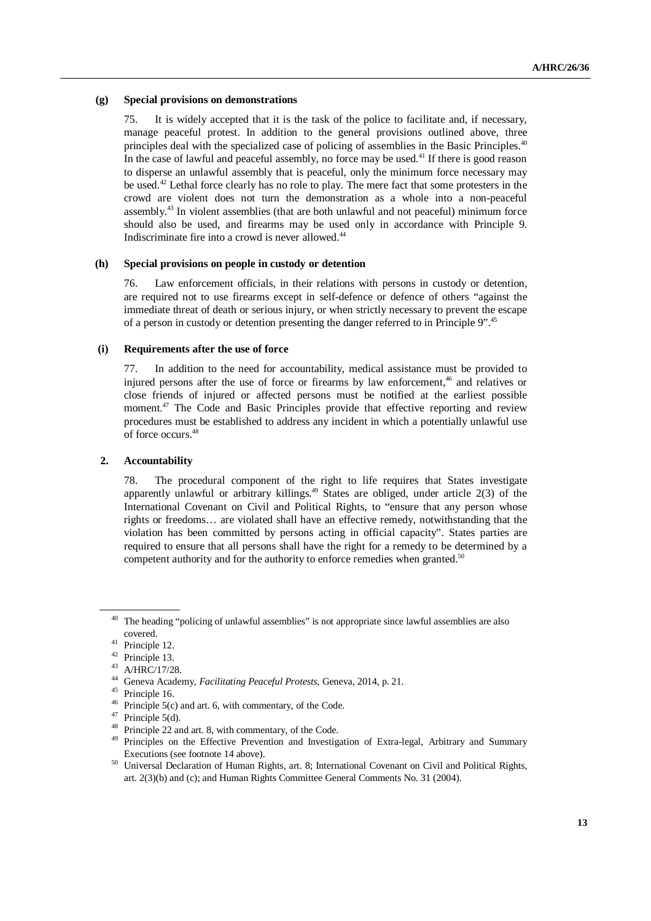#### **(g) Special provisions on demonstrations**

75. It is widely accepted that it is the task of the police to facilitate and, if necessary, manage peaceful protest. In addition to the general provisions outlined above, three principles deal with the specialized case of policing of assemblies in the Basic Principles.<sup>40</sup> In the case of lawful and peaceful assembly, no force may be used. $41$  If there is good reason to disperse an unlawful assembly that is peaceful, only the minimum force necessary may be used.<sup>42</sup> Lethal force clearly has no role to play. The mere fact that some protesters in the crowd are violent does not turn the demonstration as a whole into a non-peaceful assembly.<sup>43</sup> In violent assemblies (that are both unlawful and not peaceful) minimum force should also be used, and firearms may be used only in accordance with Principle 9. Indiscriminate fire into a crowd is never allowed.<sup>44</sup>

#### **(h) Special provisions on people in custody or detention**

76. Law enforcement officials, in their relations with persons in custody or detention, are required not to use firearms except in self-defence or defence of others "against the immediate threat of death or serious injury, or when strictly necessary to prevent the escape of a person in custody or detention presenting the danger referred to in Principle 9".<sup>45</sup>

#### **(i) Requirements after the use of force**

77. In addition to the need for accountability, medical assistance must be provided to injured persons after the use of force or firearms by law enforcement,<sup>46</sup> and relatives or close friends of injured or affected persons must be notified at the earliest possible moment. $47$  The Code and Basic Principles provide that effective reporting and review procedures must be established to address any incident in which a potentially unlawful use of force occurs.<sup>48</sup>

#### **2. Accountability**

78. The procedural component of the right to life requires that States investigate apparently unlawful or arbitrary killings.<sup>49</sup> States are obliged, under article  $2(3)$  of the International Covenant on Civil and Political Rights, to "ensure that any person whose rights or freedoms… are violated shall have an effective remedy, notwithstanding that the violation has been committed by persons acting in official capacity". States parties are required to ensure that all persons shall have the right for a remedy to be determined by a competent authority and for the authority to enforce remedies when granted.<sup>50</sup>

The heading "policing of unlawful assemblies" is not appropriate since lawful assemblies are also covered.

<sup>41</sup> Principle 12.

 $^{42}$  Principle 13.

 $^{43}$  A/HRC/17/28.

<sup>44</sup> Geneva Academy, *Facilitating Peaceful Protests,* Geneva, 2014, p. 21.

<sup>&</sup>lt;sup>45</sup> Principle 16.

<sup>46</sup> Principle 5(c) and art. 6, with commentary, of the Code.

 $47$  Principle 5(d).

<sup>48</sup> Principle 22 and art. 8, with commentary, of the Code.

<sup>&</sup>lt;sup>49</sup> Principles on the Effective Prevention and Investigation of Extra-legal, Arbitrary and Summary Executions (see footnote 14 above).

<sup>50</sup> Universal Declaration of Human Rights, art. 8; International Covenant on Civil and Political Rights, art. 2(3)(b) and (c); and Human Rights Committee General Comments No. 31 (2004).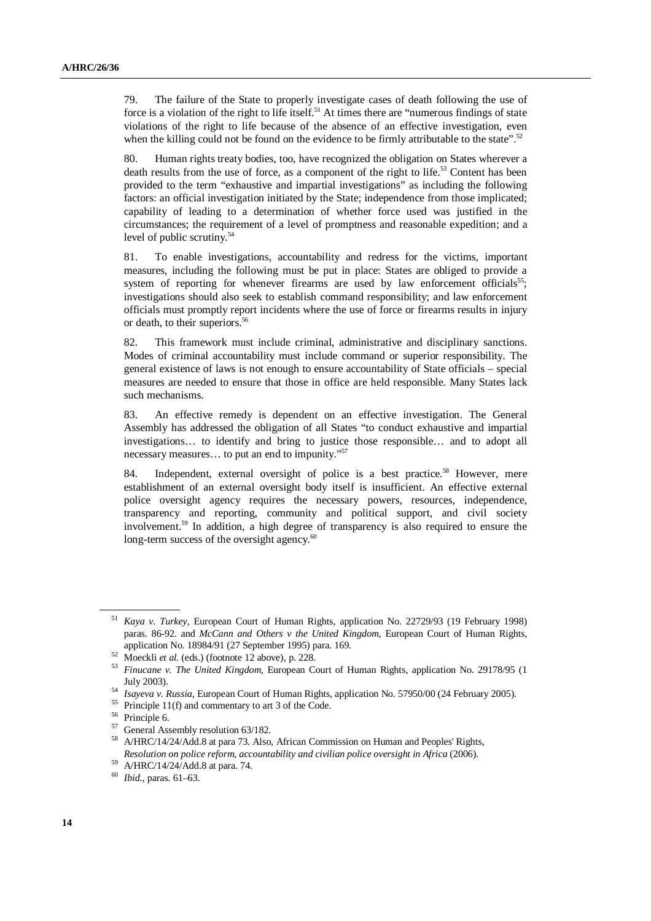79. The failure of the State to properly investigate cases of death following the use of force is a violation of the right to life itself.<sup>51</sup> At times there are "numerous findings of state violations of the right to life because of the absence of an effective investigation, even when the killing could not be found on the evidence to be firmly attributable to the state".<sup>52</sup>

80. Human rights treaty bodies, too, have recognized the obligation on States wherever a death results from the use of force, as a component of the right to life.<sup>53</sup> Content has been provided to the term "exhaustive and impartial investigations" as including the following factors: an official investigation initiated by the State; independence from those implicated; capability of leading to a determination of whether force used was justified in the circumstances; the requirement of a level of promptness and reasonable expedition; and a level of public scrutiny.<sup>54</sup>

81. To enable investigations, accountability and redress for the victims, important measures, including the following must be put in place: States are obliged to provide a system of reporting for whenever firearms are used by law enforcement officials<sup>55</sup>; investigations should also seek to establish command responsibility; and law enforcement officials must promptly report incidents where the use of force or firearms results in injury or death, to their superiors.<sup>56</sup>

82. This framework must include criminal, administrative and disciplinary sanctions. Modes of criminal accountability must include command or superior responsibility. The general existence of laws is not enough to ensure accountability of State officials – special measures are needed to ensure that those in office are held responsible. Many States lack such mechanisms.

83. An effective remedy is dependent on an effective investigation. The General Assembly has addressed the obligation of all States "to conduct exhaustive and impartial investigations… to identify and bring to justice those responsible… and to adopt all necessary measures… to put an end to impunity."<sup>57</sup>

84. Independent, external oversight of police is a best practice.<sup>58</sup> However, mere establishment of an external oversight body itself is insufficient. An effective external police oversight agency requires the necessary powers, resources, independence, transparency and reporting, community and political support, and civil society involvement.<sup>59</sup> In addition, a high degree of transparency is also required to ensure the long-term success of the oversight agency.<sup>60</sup>

<sup>51</sup> *Kaya v. Turkey,* European Court of Human Rights, application No. 22729/93 (19 February 1998) paras. 86-92. and *McCann and Others v the United Kingdom*, European Court of Human Rights, application No. 18984/91 (27 September 1995) para. 169.

<sup>&</sup>lt;sup>52</sup> Moeckli *et al.* (eds.) (footnote 12 above), p. 228.

<sup>53</sup> *Finucane v. The United Kingdom,* European Court of Human Rights, application No. 29178/95 (1 July 2003).

<sup>54</sup> *Isayeva v. Russia,* European Court of Human Rights, application No. 57950/00 (24 February 2005).

Principle 11(f) and commentary to art 3 of the Code.

<sup>56</sup> Principle 6.

<sup>57</sup> General Assembly resolution 63/182.

<sup>58</sup> A/HRC/14/24/Add.8 at para 73. Also, African Commission on Human and Peoples' Rights, *Resolution on police reform, accountability and civilian police oversight in Africa* (2006).

 $59$  A/HRC/14/24/Add.8 at para. 74.

<sup>60</sup> *Ibid.,* paras. 61–63.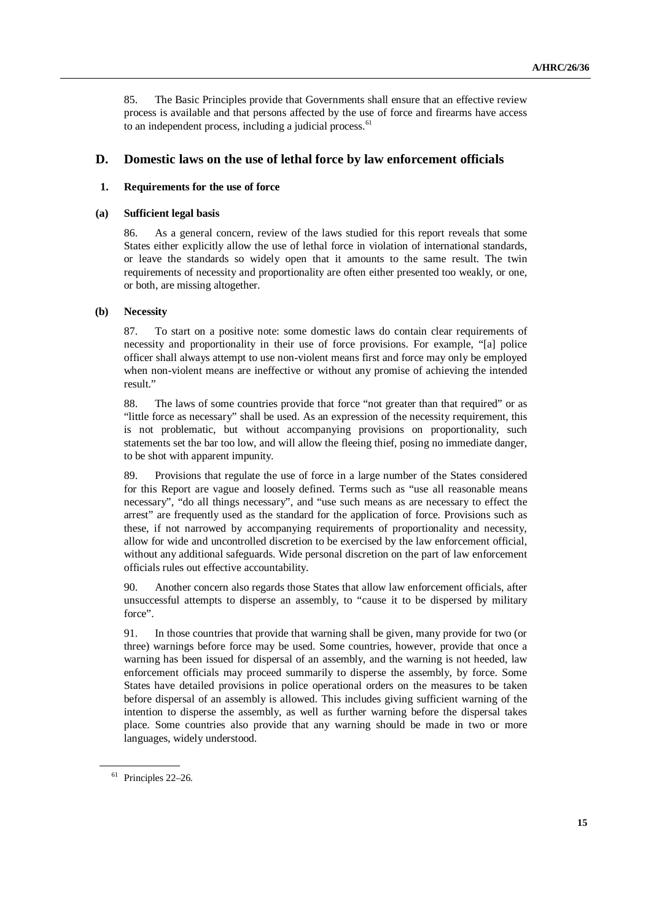85. The Basic Principles provide that Governments shall ensure that an effective review process is available and that persons affected by the use of force and firearms have access to an independent process, including a judicial process.<sup>61</sup>

## **D. Domestic laws on the use of lethal force by law enforcement officials**

#### **1. Requirements for the use of force**

#### **(a) Sufficient legal basis**

86. As a general concern, review of the laws studied for this report reveals that some States either explicitly allow the use of lethal force in violation of international standards, or leave the standards so widely open that it amounts to the same result. The twin requirements of necessity and proportionality are often either presented too weakly, or one, or both, are missing altogether.

#### **(b) Necessity**

87. To start on a positive note: some domestic laws do contain clear requirements of necessity and proportionality in their use of force provisions. For example, "[a] police officer shall always attempt to use non-violent means first and force may only be employed when non-violent means are ineffective or without any promise of achieving the intended result."

88. The laws of some countries provide that force "not greater than that required" or as "little force as necessary" shall be used. As an expression of the necessity requirement, this is not problematic, but without accompanying provisions on proportionality, such statements set the bar too low, and will allow the fleeing thief, posing no immediate danger, to be shot with apparent impunity.

89. Provisions that regulate the use of force in a large number of the States considered for this Report are vague and loosely defined. Terms such as "use all reasonable means necessary", "do all things necessary", and "use such means as are necessary to effect the arrest" are frequently used as the standard for the application of force. Provisions such as these, if not narrowed by accompanying requirements of proportionality and necessity, allow for wide and uncontrolled discretion to be exercised by the law enforcement official, without any additional safeguards. Wide personal discretion on the part of law enforcement officials rules out effective accountability.

90. Another concern also regards those States that allow law enforcement officials, after unsuccessful attempts to disperse an assembly, to "cause it to be dispersed by military force".

91. In those countries that provide that warning shall be given, many provide for two (or three) warnings before force may be used. Some countries, however, provide that once a warning has been issued for dispersal of an assembly, and the warning is not heeded, law enforcement officials may proceed summarily to disperse the assembly, by force. Some States have detailed provisions in police operational orders on the measures to be taken before dispersal of an assembly is allowed. This includes giving sufficient warning of the intention to disperse the assembly, as well as further warning before the dispersal takes place. Some countries also provide that any warning should be made in two or more languages, widely understood.

<sup>61</sup> Principles 22–26.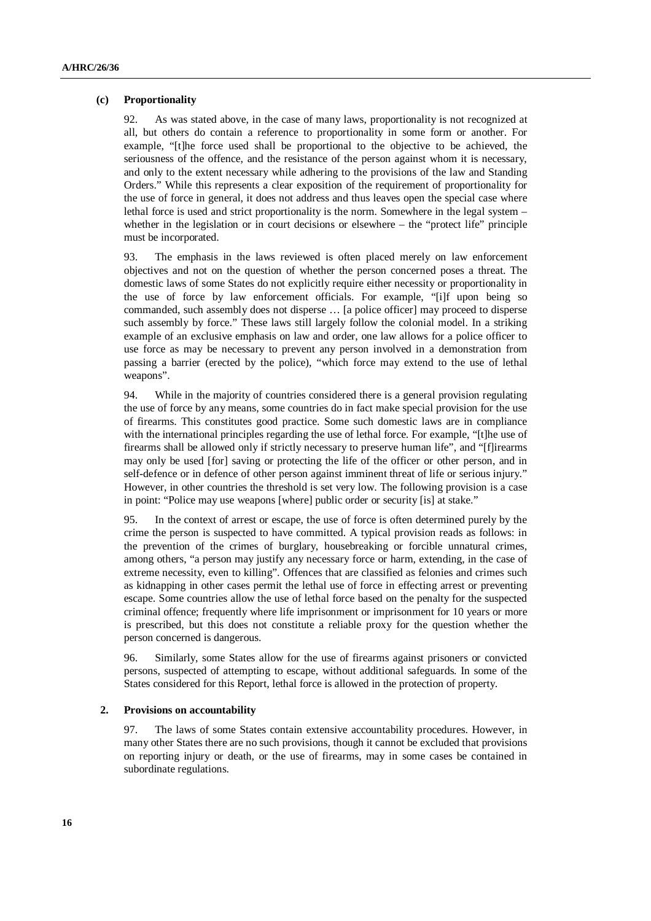#### **(c) Proportionality**

92. As was stated above, in the case of many laws, proportionality is not recognized at all, but others do contain a reference to proportionality in some form or another. For example, "[t]he force used shall be proportional to the objective to be achieved, the seriousness of the offence, and the resistance of the person against whom it is necessary, and only to the extent necessary while adhering to the provisions of the law and Standing Orders." While this represents a clear exposition of the requirement of proportionality for the use of force in general, it does not address and thus leaves open the special case where lethal force is used and strict proportionality is the norm. Somewhere in the legal system – whether in the legislation or in court decisions or elsewhere – the "protect life" principle must be incorporated.

93. The emphasis in the laws reviewed is often placed merely on law enforcement objectives and not on the question of whether the person concerned poses a threat. The domestic laws of some States do not explicitly require either necessity or proportionality in the use of force by law enforcement officials. For example, "[i]f upon being so commanded, such assembly does not disperse … [a police officer] may proceed to disperse such assembly by force." These laws still largely follow the colonial model. In a striking example of an exclusive emphasis on law and order, one law allows for a police officer to use force as may be necessary to prevent any person involved in a demonstration from passing a barrier (erected by the police), "which force may extend to the use of lethal weapons".

94. While in the majority of countries considered there is a general provision regulating the use of force by any means, some countries do in fact make special provision for the use of firearms. This constitutes good practice. Some such domestic laws are in compliance with the international principles regarding the use of lethal force. For example, "[t]he use of firearms shall be allowed only if strictly necessary to preserve human life", and "[f]irearms may only be used [for] saving or protecting the life of the officer or other person, and in self-defence or in defence of other person against imminent threat of life or serious injury." However, in other countries the threshold is set very low. The following provision is a case in point: "Police may use weapons [where] public order or security [is] at stake."

95. In the context of arrest or escape, the use of force is often determined purely by the crime the person is suspected to have committed. A typical provision reads as follows: in the prevention of the crimes of burglary, housebreaking or forcible unnatural crimes, among others, "a person may justify any necessary force or harm, extending, in the case of extreme necessity, even to killing". Offences that are classified as felonies and crimes such as kidnapping in other cases permit the lethal use of force in effecting arrest or preventing escape. Some countries allow the use of lethal force based on the penalty for the suspected criminal offence; frequently where life imprisonment or imprisonment for 10 years or more is prescribed, but this does not constitute a reliable proxy for the question whether the person concerned is dangerous.

96. Similarly, some States allow for the use of firearms against prisoners or convicted persons, suspected of attempting to escape, without additional safeguards. In some of the States considered for this Report, lethal force is allowed in the protection of property.

#### **2. Provisions on accountability**

97. The laws of some States contain extensive accountability procedures. However, in many other States there are no such provisions, though it cannot be excluded that provisions on reporting injury or death, or the use of firearms, may in some cases be contained in subordinate regulations.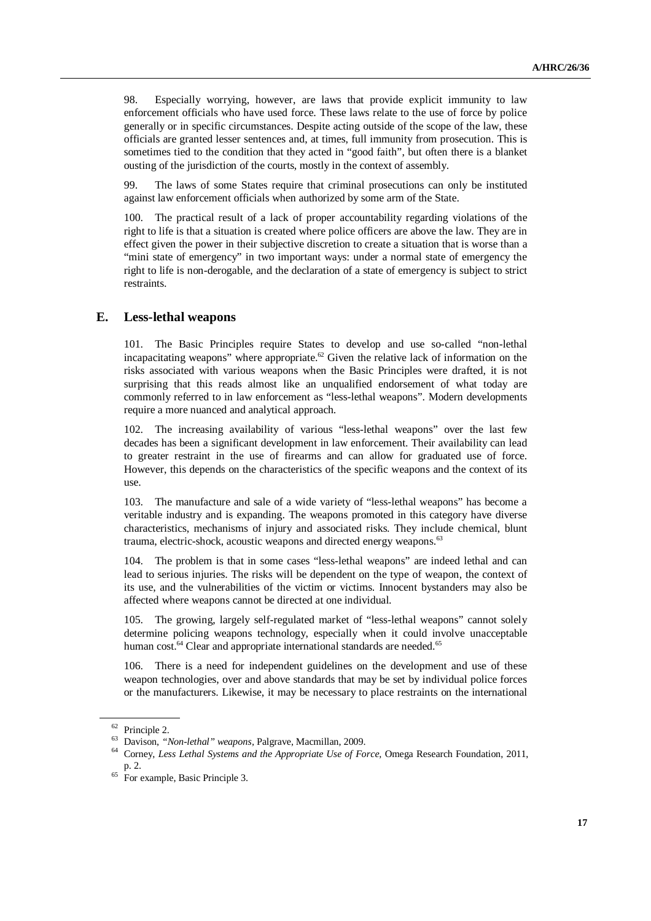98. Especially worrying, however, are laws that provide explicit immunity to law enforcement officials who have used force. These laws relate to the use of force by police generally or in specific circumstances. Despite acting outside of the scope of the law, these officials are granted lesser sentences and, at times, full immunity from prosecution. This is sometimes tied to the condition that they acted in "good faith", but often there is a blanket ousting of the jurisdiction of the courts, mostly in the context of assembly.

99. The laws of some States require that criminal prosecutions can only be instituted against law enforcement officials when authorized by some arm of the State.

100. The practical result of a lack of proper accountability regarding violations of the right to life is that a situation is created where police officers are above the law. They are in effect given the power in their subjective discretion to create a situation that is worse than a "mini state of emergency" in two important ways: under a normal state of emergency the right to life is non-derogable, and the declaration of a state of emergency is subject to strict restraints.

### **E. Less-lethal weapons**

101. The Basic Principles require States to develop and use so-called "non-lethal incapacitating weapons" where appropriate.<sup>62</sup> Given the relative lack of information on the risks associated with various weapons when the Basic Principles were drafted, it is not surprising that this reads almost like an unqualified endorsement of what today are commonly referred to in law enforcement as "less-lethal weapons". Modern developments require a more nuanced and analytical approach.

102. The increasing availability of various "less-lethal weapons" over the last few decades has been a significant development in law enforcement. Their availability can lead to greater restraint in the use of firearms and can allow for graduated use of force. However, this depends on the characteristics of the specific weapons and the context of its use.

103. The manufacture and sale of a wide variety of "less-lethal weapons" has become a veritable industry and is expanding. The weapons promoted in this category have diverse characteristics, mechanisms of injury and associated risks. They include chemical, blunt trauma, electric-shock, acoustic weapons and directed energy weapons.<sup>63</sup>

104. The problem is that in some cases "less-lethal weapons" are indeed lethal and can lead to serious injuries. The risks will be dependent on the type of weapon, the context of its use, and the vulnerabilities of the victim or victims. Innocent bystanders may also be affected where weapons cannot be directed at one individual.

105. The growing, largely self-regulated market of "less-lethal weapons" cannot solely determine policing weapons technology, especially when it could involve unacceptable human cost.<sup>64</sup> Clear and appropriate international standards are needed.<sup>65</sup>

106. There is a need for independent guidelines on the development and use of these weapon technologies, over and above standards that may be set by individual police forces or the manufacturers. Likewise, it may be necessary to place restraints on the international

<sup>62</sup> Principle 2.

<sup>63</sup> Davison, *"Non-lethal" weapons,* Palgrave, Macmillan, 2009.

<sup>64</sup> Corney, *Less Lethal Systems and the Appropriate Use of Force,* Omega Research Foundation, 2011, p. 2.

<sup>&</sup>lt;sup>65</sup> For example, Basic Principle 3.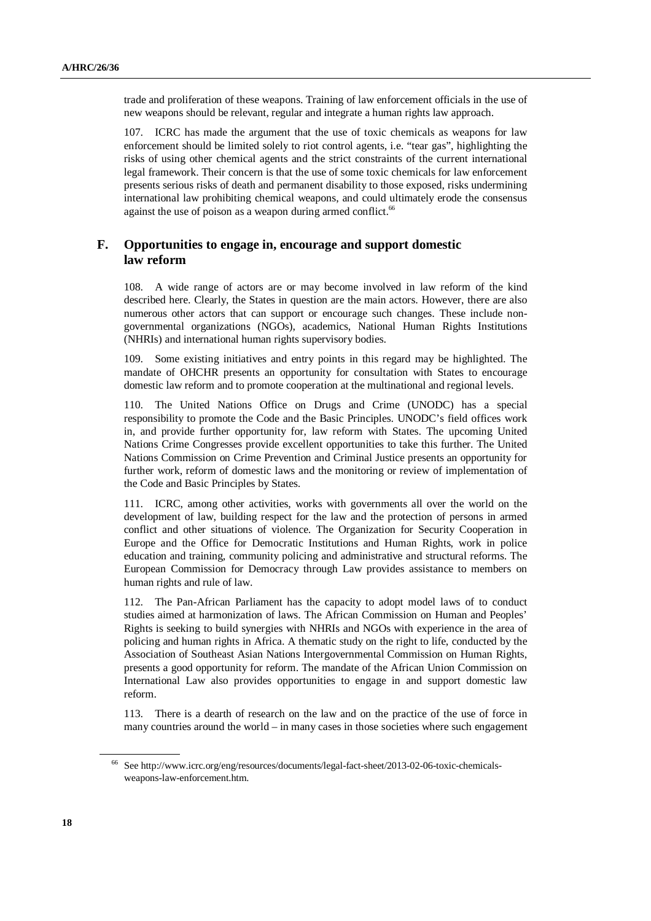trade and proliferation of these weapons. Training of law enforcement officials in the use of new weapons should be relevant, regular and integrate a human rights law approach.

107. ICRC has made the argument that the use of toxic chemicals as weapons for law enforcement should be limited solely to riot control agents, i.e. "tear gas", highlighting the risks of using other chemical agents and the strict constraints of the current international legal framework. Their concern is that the use of some toxic chemicals for law enforcement presents serious risks of death and permanent disability to those exposed, risks undermining international law prohibiting chemical weapons, and could ultimately erode the consensus against the use of poison as a weapon during armed conflict.<sup>66</sup>

# **F. Opportunities to engage in, encourage and support domestic law reform**

108. A wide range of actors are or may become involved in law reform of the kind described here. Clearly, the States in question are the main actors. However, there are also numerous other actors that can support or encourage such changes. These include nongovernmental organizations (NGOs), academics, National Human Rights Institutions (NHRIs) and international human rights supervisory bodies.

Some existing initiatives and entry points in this regard may be highlighted. The mandate of OHCHR presents an opportunity for consultation with States to encourage domestic law reform and to promote cooperation at the multinational and regional levels.

110. The United Nations Office on Drugs and Crime (UNODC) has a special responsibility to promote the Code and the Basic Principles. UNODC's field offices work in, and provide further opportunity for, law reform with States. The upcoming United Nations Crime Congresses provide excellent opportunities to take this further. The United Nations Commission on Crime Prevention and Criminal Justice presents an opportunity for further work, reform of domestic laws and the monitoring or review of implementation of the Code and Basic Principles by States.

111. ICRC, among other activities, works with governments all over the world on the development of law, building respect for the law and the protection of persons in armed conflict and other situations of violence. The Organization for Security Cooperation in Europe and the Office for Democratic Institutions and Human Rights, work in police education and training, community policing and administrative and structural reforms. The European Commission for Democracy through Law provides assistance to members on human rights and rule of law.

112. The Pan-African Parliament has the capacity to adopt model laws of to conduct studies aimed at harmonization of laws. The African Commission on Human and Peoples' Rights is seeking to build synergies with NHRIs and NGOs with experience in the area of policing and human rights in Africa. A thematic study on the right to life, conducted by the Association of Southeast Asian Nations Intergovernmental Commission on Human Rights, presents a good opportunity for reform. The mandate of the African Union Commission on International Law also provides opportunities to engage in and support domestic law reform.

113. There is a dearth of research on the law and on the practice of the use of force in many countries around the world – in many cases in those societies where such engagement

<sup>66</sup> See http://www.icrc.org/eng/resources/documents/legal-fact-sheet/2013-02-06-toxic-chemicalsweapons-law-enforcement.htm.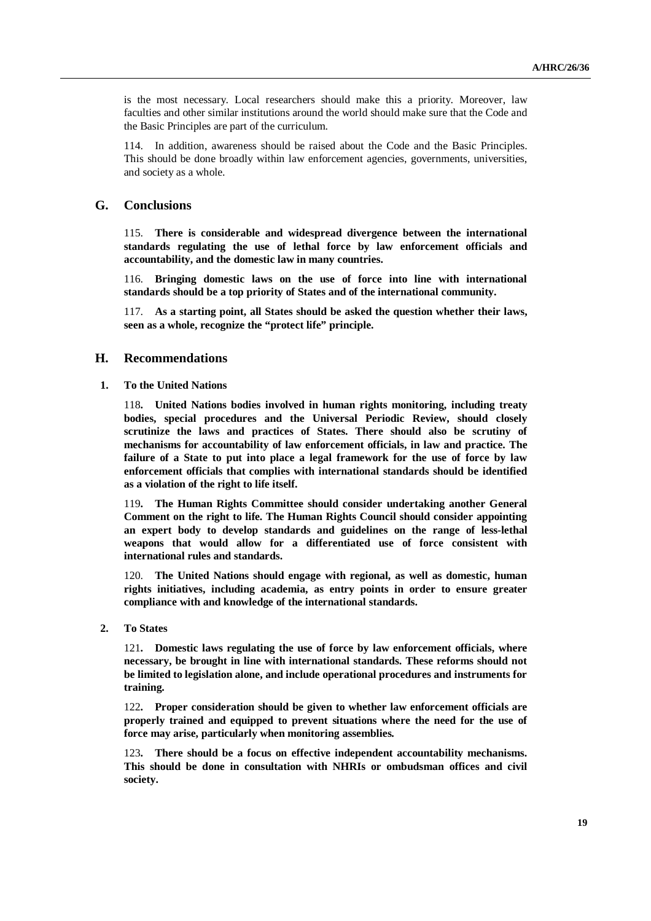is the most necessary. Local researchers should make this a priority. Moreover, law faculties and other similar institutions around the world should make sure that the Code and the Basic Principles are part of the curriculum.

114. In addition, awareness should be raised about the Code and the Basic Principles. This should be done broadly within law enforcement agencies, governments, universities, and society as a whole.

#### **G. Conclusions**

115. **There is considerable and widespread divergence between the international standards regulating the use of lethal force by law enforcement officials and accountability, and the domestic law in many countries.** 

116. **Bringing domestic laws on the use of force into line with international standards should be a top priority of States and of the international community.** 

117. **As a starting point, all States should be asked the question whether their laws, seen as a whole, recognize the "protect life" principle.** 

#### **H. Recommendations**

 **1. To the United Nations** 

118**. United Nations bodies involved in human rights monitoring, including treaty bodies, special procedures and the Universal Periodic Review, should closely scrutinize the laws and practices of States. There should also be scrutiny of mechanisms for accountability of law enforcement officials, in law and practice. The failure of a State to put into place a legal framework for the use of force by law enforcement officials that complies with international standards should be identified as a violation of the right to life itself.** 

119**. The Human Rights Committee should consider undertaking another General Comment on the right to life. The Human Rights Council should consider appointing an expert body to develop standards and guidelines on the range of less-lethal weapons that would allow for a differentiated use of force consistent with international rules and standards.** 

120. **The United Nations should engage with regional, as well as domestic, human rights initiatives, including academia, as entry points in order to ensure greater compliance with and knowledge of the international standards.** 

 **2. To States** 

121**. Domestic laws regulating the use of force by law enforcement officials, where necessary, be brought in line with international standards. These reforms should not be limited to legislation alone, and include operational procedures and instruments for training.** 

122**. Proper consideration should be given to whether law enforcement officials are properly trained and equipped to prevent situations where the need for the use of force may arise, particularly when monitoring assemblies.** 

123**. There should be a focus on effective independent accountability mechanisms. This should be done in consultation with NHRIs or ombudsman offices and civil society.**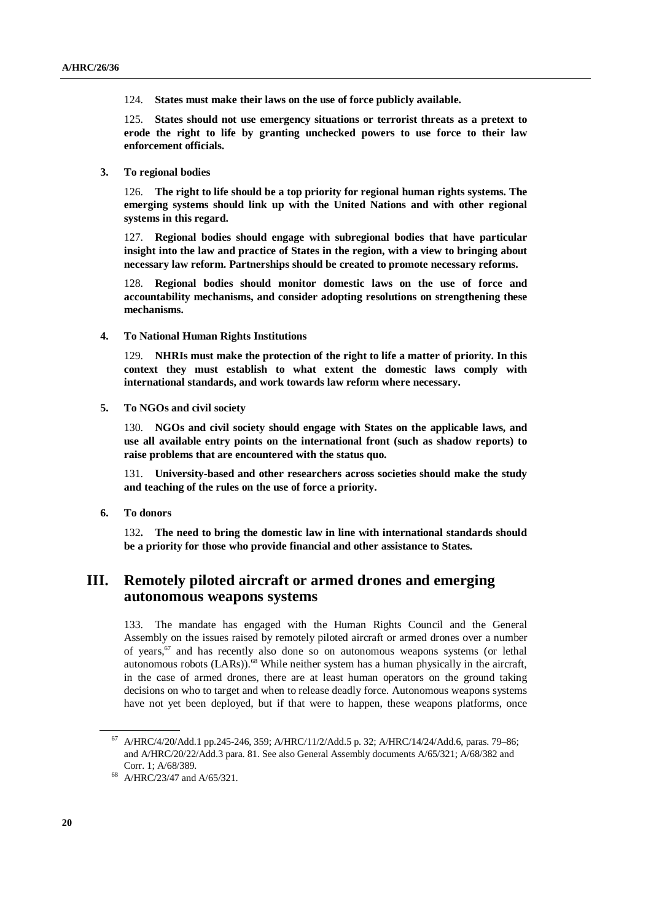124. **States must make their laws on the use of force publicly available.** 

125. **States should not use emergency situations or terrorist threats as a pretext to erode the right to life by granting unchecked powers to use force to their law enforcement officials.** 

 **3. To regional bodies** 

126. **The right to life should be a top priority for regional human rights systems. The emerging systems should link up with the United Nations and with other regional systems in this regard.** 

127. **Regional bodies should engage with subregional bodies that have particular insight into the law and practice of States in the region, with a view to bringing about necessary law reform. Partnerships should be created to promote necessary reforms.** 

128. **Regional bodies should monitor domestic laws on the use of force and accountability mechanisms, and consider adopting resolutions on strengthening these mechanisms.** 

 **4. To National Human Rights Institutions** 

129. **NHRIs must make the protection of the right to life a matter of priority. In this context they must establish to what extent the domestic laws comply with international standards, and work towards law reform where necessary.** 

 **5. To NGOs and civil society** 

130. **NGOs and civil society should engage with States on the applicable laws, and use all available entry points on the international front (such as shadow reports) to raise problems that are encountered with the status quo.** 

131. **University-based and other researchers across societies should make the study and teaching of the rules on the use of force a priority.** 

 **6. To donors** 

132**. The need to bring the domestic law in line with international standards should be a priority for those who provide financial and other assistance to States.**

# **III. Remotely piloted aircraft or armed drones and emerging autonomous weapons systems**

133. The mandate has engaged with the Human Rights Council and the General Assembly on the issues raised by remotely piloted aircraft or armed drones over a number of years, $67$  and has recently also done so on autonomous weapons systems (or lethal autonomous robots (LARs)).<sup>68</sup> While neither system has a human physically in the aircraft, in the case of armed drones, there are at least human operators on the ground taking decisions on who to target and when to release deadly force. Autonomous weapons systems have not yet been deployed, but if that were to happen, these weapons platforms, once

<sup>67</sup> A/HRC/4/20/Add.1 pp.245-246, 359; A/HRC/11/2/Add.5 p. 32; A/HRC/14/24/Add.6, paras. 79–86; and A/HRC/20/22/Add.3 para. 81. See also General Assembly documents A/65/321; A/68/382 and Corr. 1; A/68/389.

<sup>68</sup> A/HRC/23/47 and A/65/321.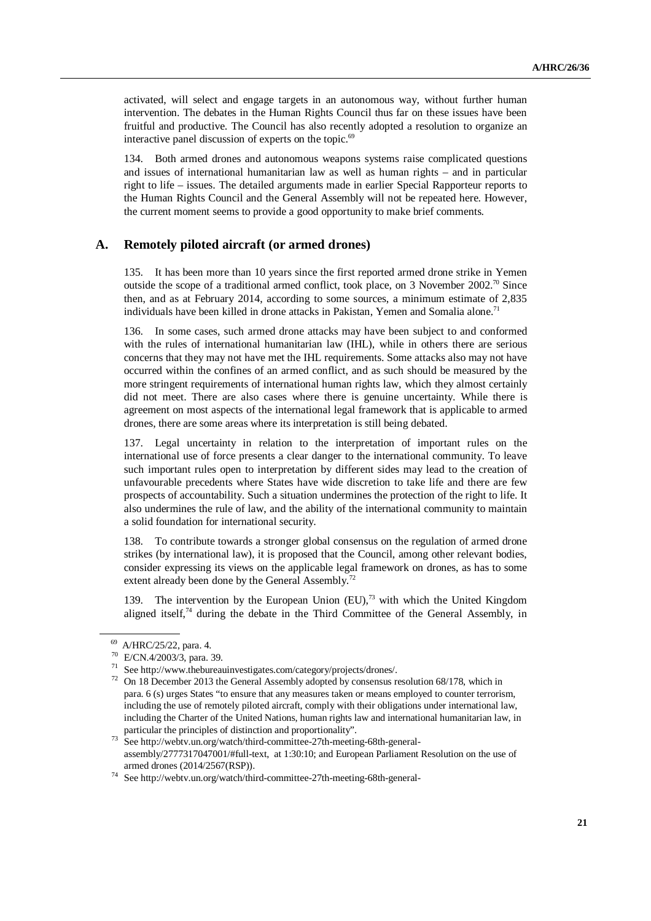activated, will select and engage targets in an autonomous way, without further human intervention. The debates in the Human Rights Council thus far on these issues have been fruitful and productive. The Council has also recently adopted a resolution to organize an interactive panel discussion of experts on the topic. $69$ 

134. Both armed drones and autonomous weapons systems raise complicated questions and issues of international humanitarian law as well as human rights – and in particular right to life – issues. The detailed arguments made in earlier Special Rapporteur reports to the Human Rights Council and the General Assembly will not be repeated here. However, the current moment seems to provide a good opportunity to make brief comments.

#### **A. Remotely piloted aircraft (or armed drones)**

135. It has been more than 10 years since the first reported armed drone strike in Yemen outside the scope of a traditional armed conflict, took place, on 3 November 2002.<sup>70</sup> Since then, and as at February 2014, according to some sources, a minimum estimate of 2,835 individuals have been killed in drone attacks in Pakistan, Yemen and Somalia alone.<sup>71</sup>

In some cases, such armed drone attacks may have been subject to and conformed with the rules of international humanitarian law (IHL), while in others there are serious concerns that they may not have met the IHL requirements. Some attacks also may not have occurred within the confines of an armed conflict, and as such should be measured by the more stringent requirements of international human rights law, which they almost certainly did not meet. There are also cases where there is genuine uncertainty. While there is agreement on most aspects of the international legal framework that is applicable to armed drones, there are some areas where its interpretation is still being debated.

137. Legal uncertainty in relation to the interpretation of important rules on the international use of force presents a clear danger to the international community. To leave such important rules open to interpretation by different sides may lead to the creation of unfavourable precedents where States have wide discretion to take life and there are few prospects of accountability. Such a situation undermines the protection of the right to life. It also undermines the rule of law, and the ability of the international community to maintain a solid foundation for international security.

138. To contribute towards a stronger global consensus on the regulation of armed drone strikes (by international law), it is proposed that the Council, among other relevant bodies, consider expressing its views on the applicable legal framework on drones, as has to some extent already been done by the General Assembly.<sup>72</sup>

139. The intervention by the European Union  $(EU)$ ,<sup>73</sup> with which the United Kingdom aligned itself,<sup>74</sup> during the debate in the Third Committee of the General Assembly, in

 $^{69}$  A/HRC/25/22, para. 4.

<sup>70</sup> E/CN.4/2003/3, para. 39.

<sup>71</sup> See http://www.thebureauinvestigates.com/category/projects/drones/.

<sup>72</sup> On 18 December 2013 the General Assembly adopted by consensus resolution 68/178, which in para. 6 (s) urges States "to ensure that any measures taken or means employed to counter terrorism, including the use of remotely piloted aircraft, comply with their obligations under international law, including the Charter of the United Nations, human rights law and international humanitarian law, in particular the principles of distinction and proportionality".

<sup>&</sup>lt;sup>73</sup> See http://webtv.un.org/watch/third-committee-27th-meeting-68th-generalassembly/2777317047001/#full-text, at 1:30:10; and European Parliament Resolution on the use of armed drones (2014/2567(RSP)).

 $^{74}\,$  See http://webtv.un.org/watch/third-committee-27th-meeting-68th-general-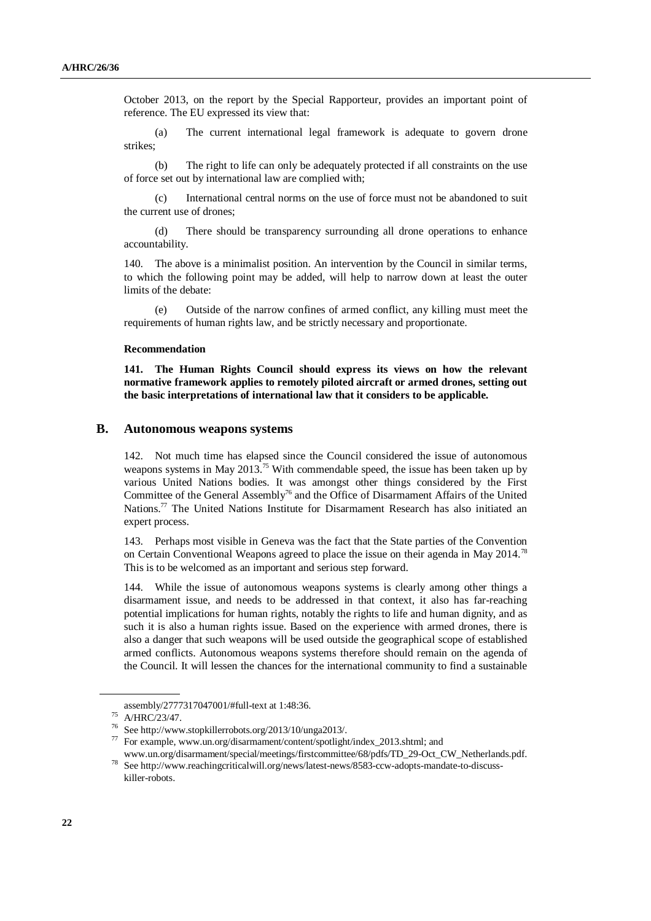October 2013, on the report by the Special Rapporteur, provides an important point of reference. The EU expressed its view that:

 (a) The current international legal framework is adequate to govern drone strikes;

 (b) The right to life can only be adequately protected if all constraints on the use of force set out by international law are complied with;

 (c) International central norms on the use of force must not be abandoned to suit the current use of drones;

 (d) There should be transparency surrounding all drone operations to enhance accountability.

140. The above is a minimalist position. An intervention by the Council in similar terms, to which the following point may be added, will help to narrow down at least the outer limits of the debate:

 (e) Outside of the narrow confines of armed conflict, any killing must meet the requirements of human rights law, and be strictly necessary and proportionate.

#### **Recommendation**

**141. The Human Rights Council should express its views on how the relevant normative framework applies to remotely piloted aircraft or armed drones, setting out the basic interpretations of international law that it considers to be applicable.** 

### **B. Autonomous weapons systems**

142. Not much time has elapsed since the Council considered the issue of autonomous weapons systems in May 2013.<sup>75</sup> With commendable speed, the issue has been taken up by various United Nations bodies. It was amongst other things considered by the First Committee of the General Assembly<sup>76</sup> and the Office of Disarmament Affairs of the United Nations.<sup>77</sup> The United Nations Institute for Disarmament Research has also initiated an expert process.

143. Perhaps most visible in Geneva was the fact that the State parties of the Convention on Certain Conventional Weapons agreed to place the issue on their agenda in May 2014.<sup>78</sup> This is to be welcomed as an important and serious step forward.

144. While the issue of autonomous weapons systems is clearly among other things a disarmament issue, and needs to be addressed in that context, it also has far-reaching potential implications for human rights, notably the rights to life and human dignity, and as such it is also a human rights issue. Based on the experience with armed drones, there is also a danger that such weapons will be used outside the geographical scope of established armed conflicts. Autonomous weapons systems therefore should remain on the agenda of the Council. It will lessen the chances for the international community to find a sustainable

assembly/2777317047001/#full-text at 1:48:36.

<sup>75</sup> A/HRC/23/47.

<sup>76</sup> See http://www.stopkillerrobots.org/2013/10/unga2013/.

<sup>77</sup> For example, www.un.org/disarmament/content/spotlight/index\_2013.shtml; and

www.un.org/disarmament/special/meetings/firstcommittee/68/pdfs/TD\_29-Oct\_CW\_Netherlands.pdf. <sup>78</sup> See http://www.reachingcriticalwill.org/news/latest-news/8583-ccw-adopts-mandate-to-discusskiller-robots.